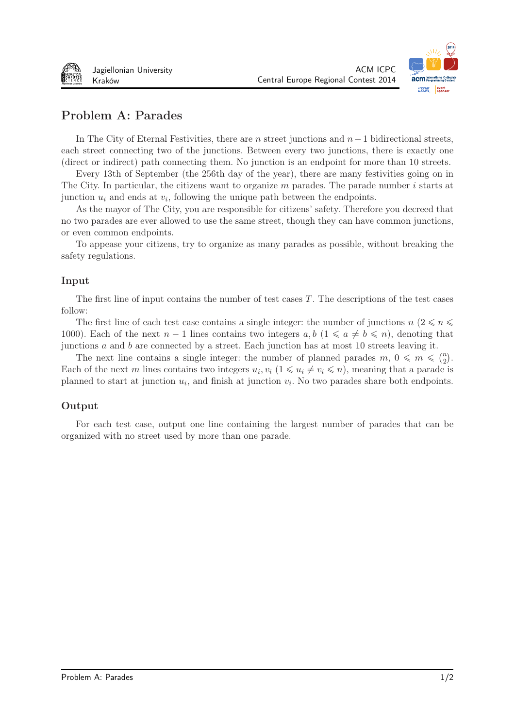



# Problem A: Parades

In The City of Eternal Festivities, there are *n* street junctions and *n* − 1 bidirectional streets, each street connecting two of the junctions. Between every two junctions, there is exactly one (direct or indirect) path connecting them. No junction is an endpoint for more than 10 streets.

Every 13th of September (the 256th day of the year), there are many festivities going on in The City. In particular, the citizens want to organize  $m$  parades. The parade number  $i$  starts at junction  $u_i$  and ends at  $v_i$ , following the unique path between the endpoints.

As the mayor of The City, you are responsible for citizens' safety. Therefore you decreed that no two parades are ever allowed to use the same street, though they can have common junctions, or even common endpoints.

To appease your citizens, try to organize as many parades as possible, without breaking the safety regulations.

#### Input

The first line of input contains the number of test cases  $T$ . The descriptions of the test cases follow:

The first line of each test case contains a single integer: the number of junctions  $n \ (2 \leq n \leq$ 1000). Each of the next  $n-1$  lines contains two integers  $a, b$  ( $1 \leq a \neq b \leq n$ ), denoting that junctions  $\alpha$  and  $\beta$  are connected by a street. Each junction has at most 10 streets leaving it.

The next line contains a single integer: the number of planned parades  $m, 0 \leq m \leq \binom{n}{2}$ . Each of the next *m* lines contains two integers  $u_i, v_i$   $(1 \leq u_i \neq v_i \leq n)$ , meaning that a parade is planned to start at junction  $u_i$ , and finish at junction  $v_i$ . No two parades share both endpoints.

### Output

For each test case, output one line containing the largest number of parades that can be organized with no street used by more than one parade.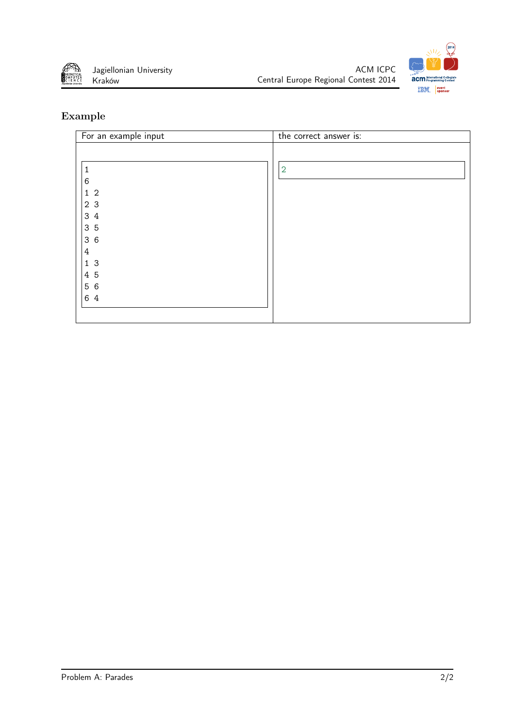





| For an example input | the correct answer is: |
|----------------------|------------------------|
|                      |                        |
|                      |                        |
| 1                    | $\overline{2}$         |
| 6                    |                        |
| $1\quad2$            |                        |
| 2 3                  |                        |
| 3 4                  |                        |
| 3 5                  |                        |
| 36                   |                        |
| $\ensuremath{4}$     |                        |
| 13                   |                        |
| 4 5                  |                        |
| 5 6                  |                        |
| 6 4                  |                        |
|                      |                        |
|                      |                        |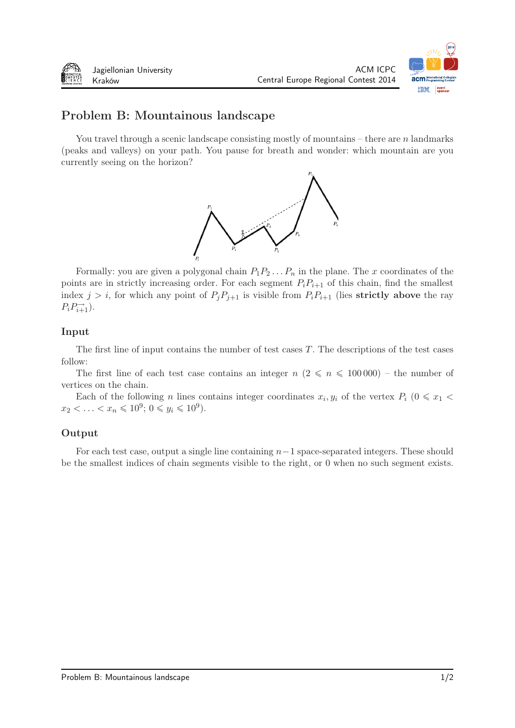

ACM ICPC

Central Europe Regional Contest 2014

# Problem B: Mountainous landscape

You travel through a scenic landscape consisting mostly of mountains – there are  $n$  landmarks (peaks and valleys) on your path. You pause for breath and wonder: which mountain are you currently seeing on the horizon?



Formally: you are given a polygonal chain  $P_1 P_2 \ldots P_n$  in the plane. The x coordinates of the points are in strictly increasing order. For each segment  $P_i P_{i+1}$  of this chain, find the smallest index  $j > i$ , for which any point of  $P_j P_{j+1}$  is visible from  $P_i P_{i+1}$  (lies **strictly above** the ray  $P_i P_{i+1}^{\rightarrow}$ ).

#### Input

The first line of input contains the number of test cases  $T$ . The descriptions of the test cases follow:

The first line of each test case contains an integer  $n (2 \leq n \leq 100000)$  – the number of vertices on the chain.

Each of the following *n* lines contains integer coordinates  $x_i, y_i$  of the vertex  $P_i$  ( $0 \le x_1 <$  $x_2 < \ldots < x_n \leq 10^9$ ;  $0 \leq y_i \leq 10^9$ ).

### Output

For each test case, output a single line containing *−*1 space-separated integers. These should be the smallest indices of chain segments visible to the right, or 0 when no such segment exists.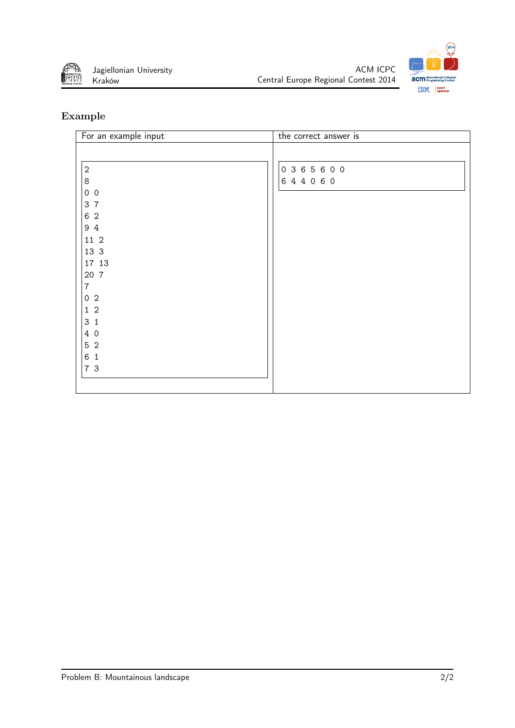





| For an example input                | the correct answer is   |
|-------------------------------------|-------------------------|
| $\sqrt{2}$<br>$\,8\,$<br>$0\quad 0$ | 0 3 6 5 6 0 0<br>644060 |
| 3 7                                 |                         |
| 6 2<br>94                           |                         |
| 11 2                                |                         |
| 13 3                                |                         |
| 17 13                               |                         |
| 20 7                                |                         |
| $\overline{7}$                      |                         |
| 0 <sub>2</sub>                      |                         |
| $1\quad2$                           |                         |
| 3 <sub>1</sub>                      |                         |
| 4 0                                 |                         |
| $5\,$ 2                             |                         |
| 6 1                                 |                         |
| 7 3                                 |                         |
|                                     |                         |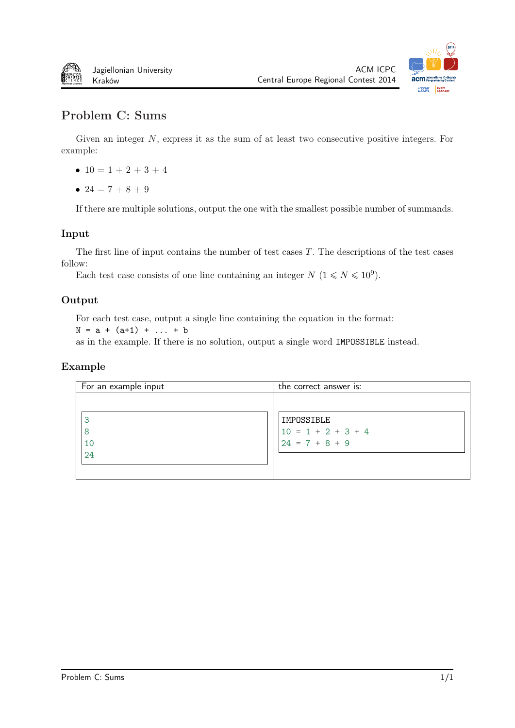



# Problem C: Sums

Given an integer  $N$ , express it as the sum of at least two consecutive positive integers. For example:

- $10 = 1 + 2 + 3 + 4$
- $24 = 7 + 8 + 9$

If there are multiple solutions, output the one with the smallest possible number of summands.

#### Input

The first line of input contains the number of test cases  $T$ . The descriptions of the test cases follow:

Each test case consists of one line containing an integer  $N$   $(1 \le N \le 10^9)$ .

### Output

For each test case, output a single line containing the equation in the format:

 $N = a + (a+1) + ... + b$ 

as in the example. If there is no solution, output a single word IMPOSSIBLE instead.

| For an example input | the correct answer is: |
|----------------------|------------------------|
|                      |                        |
| З                    | IMPOSSIBLE             |
| 8                    | $10 = 1 + 2 + 3 + 4$   |
| 10                   | $24 = 7 + 8 + 9$       |
| 24                   |                        |
|                      |                        |
|                      |                        |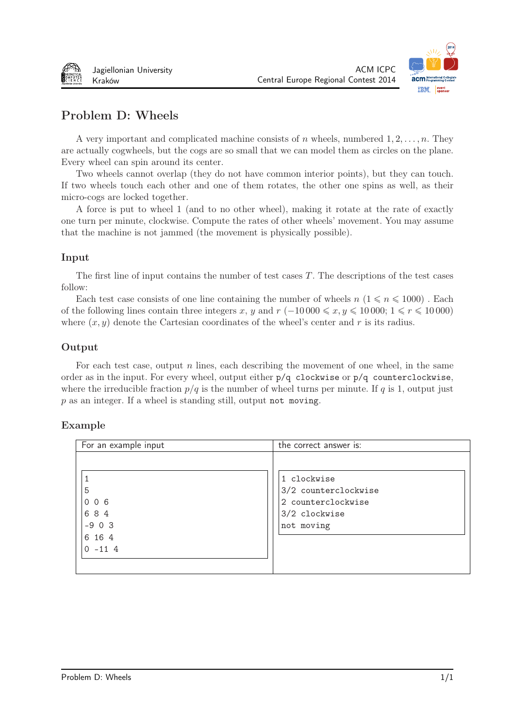



# Problem D: Wheels

A very important and complicated machine consists of wheels, numbered 1*,* 2*, . . . ,* . They are actually cogwheels, but the cogs are so small that we can model them as circles on the plane. Every wheel can spin around its center.

Two wheels cannot overlap (they do not have common interior points), but they can touch. If two wheels touch each other and one of them rotates, the other one spins as well, as their micro-cogs are locked together.

A force is put to wheel 1 (and to no other wheel), making it rotate at the rate of exactly one turn per minute, clockwise. Compute the rates of other wheels' movement. You may assume that the machine is not jammed (the movement is physically possible).

### Input

The first line of input contains the number of test cases  $T$ . The descriptions of the test cases follow:

Each test case consists of one line containing the number of wheels  $n (1 \leq n \leq 1000)$ . Each of the following lines contain three integers x, y and  $r(-10\,000 \leq x, y \leq 10\,000; 1 \leq r \leq 10\,000)$ where  $(x, y)$  denote the Cartesian coordinates of the wheel's center and r is its radius.

### Output

For each test case, output  $n$  lines, each describing the movement of one wheel, in the same order as in the input. For every wheel, output either p/q clockwise or p/q counterclockwise, where the irreducible fraction  $p/q$  is the number of wheel turns per minute. If  $q$  is 1, output just  $p$  as an integer. If a wheel is standing still, output not moving.

| For an example input                                         | the correct answer is:                                                                   |
|--------------------------------------------------------------|------------------------------------------------------------------------------------------|
| 5<br>$0\quad0\quad6$<br>684<br>$-903$<br>6 16 4<br>$0 - 114$ | 1 clockwise<br>3/2 counterclockwise<br>2 counterclockwise<br>3/2 clockwise<br>not moving |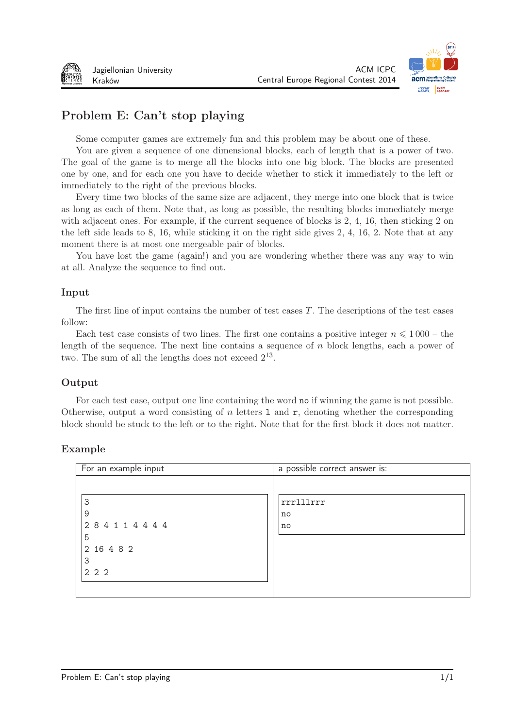

# Problem E: Can't stop playing

Some computer games are extremely fun and this problem may be about one of these.

You are given a sequence of one dimensional blocks, each of length that is a power of two. The goal of the game is to merge all the blocks into one big block. The blocks are presented one by one, and for each one you have to decide whether to stick it immediately to the left or immediately to the right of the previous blocks.

Every time two blocks of the same size are adjacent, they merge into one block that is twice as long as each of them. Note that, as long as possible, the resulting blocks immediately merge with adjacent ones. For example, if the current sequence of blocks is 2, 4, 16, then sticking 2 on the left side leads to 8, 16, while sticking it on the right side gives 2, 4, 16, 2. Note that at any moment there is at most one mergeable pair of blocks.

You have lost the game (again!) and you are wondering whether there was any way to win at all. Analyze the sequence to find out.

#### Input

The first line of input contains the number of test cases  $T$ . The descriptions of the test cases follow:

Each test case consists of two lines. The first one contains a positive integer  $n \leq 1000$  – the length of the sequence. The next line contains a sequence of  $n$  block lengths, each a power of two. The sum of all the lengths does not exceed  $2^{13}$ .

### Output

For each test case, output one line containing the word no if winning the game is not possible. Otherwise, output a word consisting of  $n$  letters 1 and  $r$ , denoting whether the corresponding block should be stuck to the left or to the right. Note that for the first block it does not matter.

| For an example input                        | a possible correct answer is: |
|---------------------------------------------|-------------------------------|
| 3<br>9<br>284114444<br>5<br>2 16 4 8 2<br>3 | rrrlllrrr<br>no<br>no         |
| 2 2 2                                       |                               |
|                                             |                               |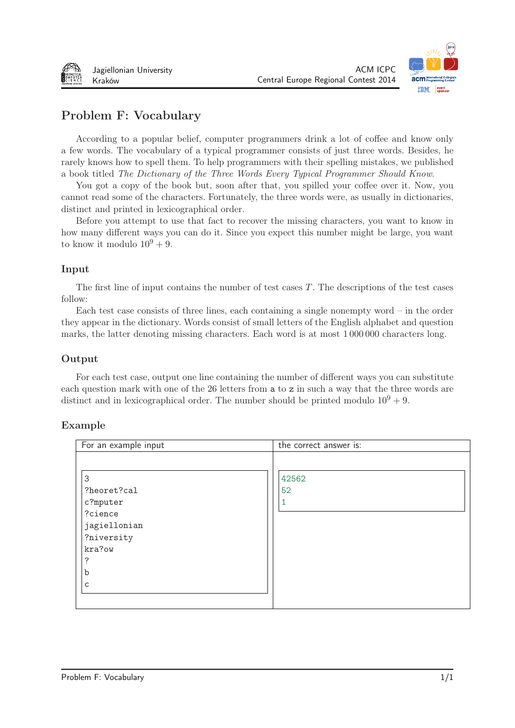



# Problem F: Vocabulary

According to a popular belief, computer programmers drink a lot of coffee and know only a few words. The vocabulary of a typical programmer consists of just three words. Besides, he rarely knows how to spell them. To help programmers with their spelling mistakes, we published a book titled The Dictionary of the Three Words Every Typical Programmer Should Know.

You got a copy of the book but, soon after that, you spilled your coffee over it. Now, you cannot read some of the characters. Fortunately, the three words were, as usually in dictionaries, distinct and printed in lexicographical order.

Before you attempt to use that fact to recover the missing characters, you want to know in how many different ways you can do it. Since you expect this number might be large, you want to know it modulo  $10^9 + 9$ .

#### Input

The first line of input contains the number of test cases  $T$ . The descriptions of the test cases follow:

Each test case consists of three lines, each containing a single nonempty word – in the order they appear in the dictionary. Words consist of small letters of the English alphabet and question marks, the latter denoting missing characters. Each word is at most 1 000 000 characters long.

#### Output

For each test case, output one line containing the number of different ways you can substitute each question mark with one of the 26 letters from a to z in such a way that the three words are distinct and in lexicographical order. The number should be printed modulo  $10^9 + 9$ .

| For an example input | the correct answer is: |
|----------------------|------------------------|
|                      |                        |
|                      |                        |
| 3                    | 42562                  |
| ?heoret?cal          | 52                     |
| c?mputer             |                        |
| ?cience              |                        |
| jagiellonian         |                        |
| ?niversity           |                        |
| kra?ow               |                        |
| ?                    |                        |
| b                    |                        |
| C                    |                        |
|                      |                        |
|                      |                        |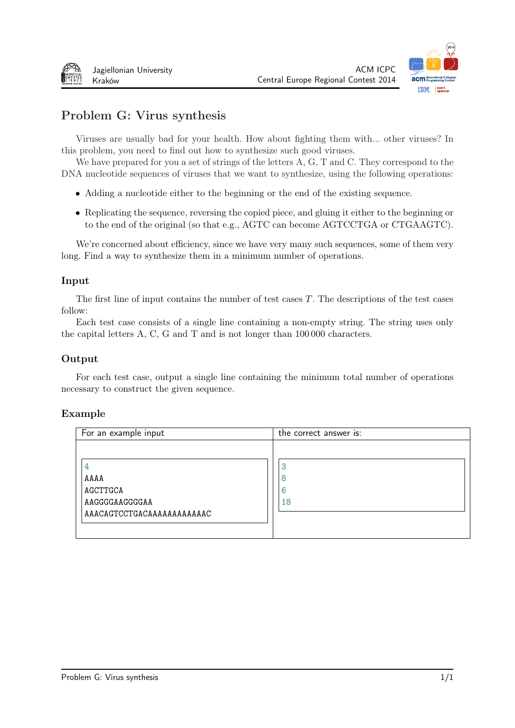

# Problem G: Virus synthesis

Viruses are usually bad for your health. How about fighting them with... other viruses? In this problem, you need to find out how to synthesize such good viruses.

We have prepared for you a set of strings of the letters A, G, T and C. They correspond to the DNA nucleotide sequences of viruses that we want to synthesize, using the following operations:

- Adding a nucleotide either to the beginning or the end of the existing sequence.
- Replicating the sequence, reversing the copied piece, and gluing it either to the beginning or to the end of the original (so that e.g., AGTC can become AGTCCTGA or CTGAAGTC).

We're concerned about efficiency, since we have very many such sequences, some of them very long. Find a way to synthesize them in a minimum number of operations.

#### Input

The first line of input contains the number of test cases  $T$ . The descriptions of the test cases follow:

Each test case consists of a single line containing a non-empty string. The string uses only the capital letters A, C, G and T and is not longer than 100 000 characters.

### Output

For each test case, output a single line containing the minimum total number of operations necessary to construct the given sequence.

| For an example input       | the correct answer is: |
|----------------------------|------------------------|
|                            |                        |
| 4                          | 3                      |
| AAAA                       | 8                      |
| AGCTTGCA                   | 6                      |
| AAGGGGAAGGGGAA             | 18                     |
| AAACAGTCCTGACAAAAAAAAAAAAC |                        |
|                            |                        |
|                            |                        |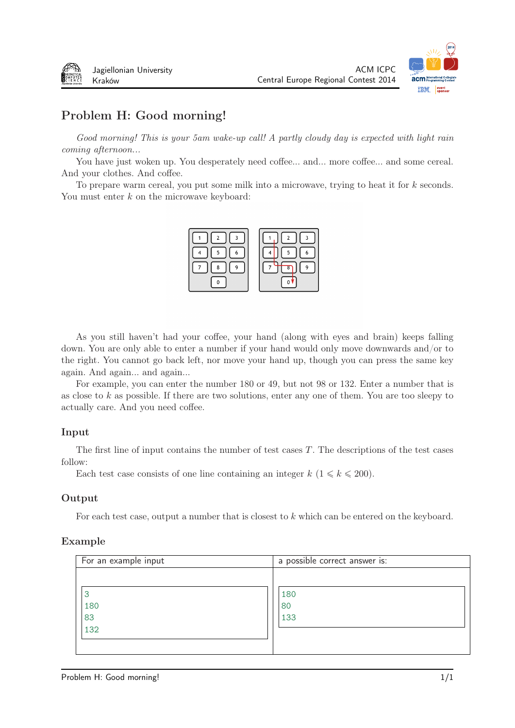

# Problem H: Good morning!

Good morning! This is your 5am wake-up call! A partly cloudy day is expected with light rain coming afternoon...

You have just woken up. You desperately need coffee... and... more coffee... and some cereal. And your clothes. And coffee.

To prepare warm cereal, you put some milk into a microwave, trying to heat it for  $k$  seconds. You must enter  $k$  on the microwave keyboard:



As you still haven't had your coffee, your hand (along with eyes and brain) keeps falling down. You are only able to enter a number if your hand would only move downwards and/or to the right. You cannot go back left, nor move your hand up, though you can press the same key again. And again... and again...

For example, you can enter the number 180 or 49, but not 98 or 132. Enter a number that is as close to  $k$  as possible. If there are two solutions, enter any one of them. You are too sleepy to actually care. And you need coffee.

### Input

The first line of input contains the number of test cases  $T$ . The descriptions of the test cases follow:

Each test case consists of one line containing an integer  $k$  ( $1 \le k \le 200$ ).

#### Output

For each test case, output a number that is closest to  $k$  which can be entered on the keyboard.

| For an example input  | a possible correct answer is: |
|-----------------------|-------------------------------|
| З<br>180<br>83<br>132 | 180<br>80<br>133              |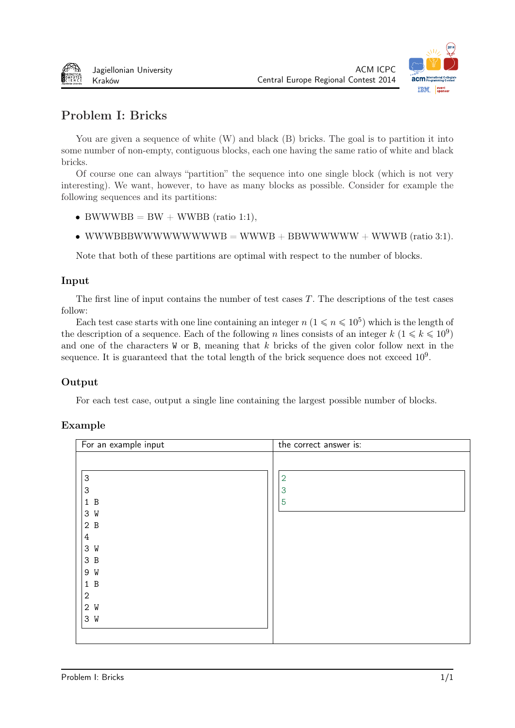



# Problem I: Bricks

You are given a sequence of white  $(W)$  and black  $(B)$  bricks. The goal is to partition it into some number of non-empty, contiguous blocks, each one having the same ratio of white and black bricks.

Of course one can always "partition" the sequence into one single block (which is not very interesting). We want, however, to have as many blocks as possible. Consider for example the following sequences and its partitions:

- BWWWBB =  $BW + WWBB$  (ratio 1:1),
- WWWBBBWWWWWWWWWB = WWWB + BBWWWWWW + WWWB (ratio 3:1).

Note that both of these partitions are optimal with respect to the number of blocks.

### Input

The first line of input contains the number of test cases  $T$ . The descriptions of the test cases follow:

Each test case starts with one line containing an integer  $n (1 \leq n \leq 10^5)$  which is the length of the description of a sequence. Each of the following *n* lines consists of an integer  $k$   $(1 \le k \le 10^9)$ and one of the characters  $W$  or B, meaning that  $k$  bricks of the given color follow next in the sequence. It is guaranteed that the total length of the brick sequence does not exceed  $10<sup>9</sup>$ .

### Output

For each test case, output a single line containing the largest possible number of blocks.

| $\overline{2}$ |  |
|----------------|--|
| 3<br>5         |  |
|                |  |

### Exa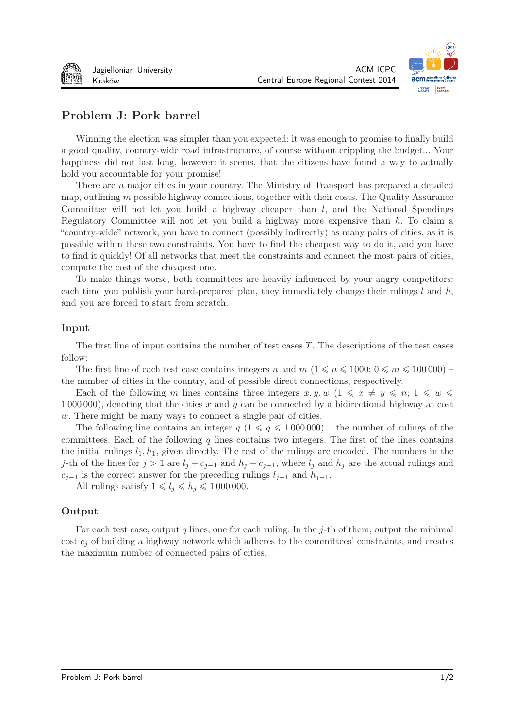



# Problem J: Pork barrel

Winning the election was simpler than you expected: it was enough to promise to finally build a good quality, country-wide road infrastructure, of course without crippling the budget... Your happiness did not last long, however: it seems, that the citizens have found a way to actually hold you accountable for your promise!

There are  $n$  major cities in your country. The Ministry of Transport has prepared a detailed map, outlining  $m$  possible highway connections, together with their costs. The Quality Assurance Committee will not let you build a highway cheaper than  $l$ , and the National Spendings Regulatory Committee will not let you build a highway more expensive than *ℎ*. To claim a "country-wide" network, you have to connect (possibly indirectly) as many pairs of cities, as it is possible within these two constraints. You have to find the cheapest way to do it, and you have to find it quickly! Of all networks that meet the constraints and connect the most pairs of cities, compute the cost of the cheapest one.

To make things worse, both committees are heavily influenced by your angry competitors: each time you publish your hard-prepared plan, they immediately change their rulings  $l$  and  $h$ , and you are forced to start from scratch.

#### Input

The first line of input contains the number of test cases  $T$ . The descriptions of the test cases follow:

The first line of each test case contains integers n and  $m$   $(1 \leq n \leq 1000; 0 \leq m \leq 100000)$ the number of cities in the country, and of possible direct connections, respectively.

Each of the following *m* lines contains three integers  $x, y, w$  ( $1 \leq x \neq y \leq n; 1 \leq w \leq \frac{1}{2}$ 1 000 000), denoting that the cities x and y can be connected by a bidirectional highway at cost . There might be many ways to connect a single pair of cities.

The following line contains an integer  $q$  ( $1 \leq q \leq 1000000$ ) – the number of rulings of the committees. Each of the following  $q$  lines contains two integers. The first of the lines contains the initial rulings  $l_1, h_1$ , given directly. The rest of the rulings are encoded. The numbers in the *j*-th of the lines for  $j > 1$  are  $l_j + c_{j-1}$  and  $h_j + c_{j-1}$ , where  $l_j$  and  $h_j$  are the actual rulings and  $c_{i-1}$  is the correct answer for the preceding rulings  $l_{j-1}$  and  $h_{j-1}$ .

All rulings satisfy  $1 \leq l_i \leq h_i \leq 1000000$ .

#### Output

For each test case, output q lines, one for each ruling. In the  $j$ -th of them, output the minimal cost  $c_i$  of building a highway network which adheres to the committees' constraints, and creates the maximum number of connected pairs of cities.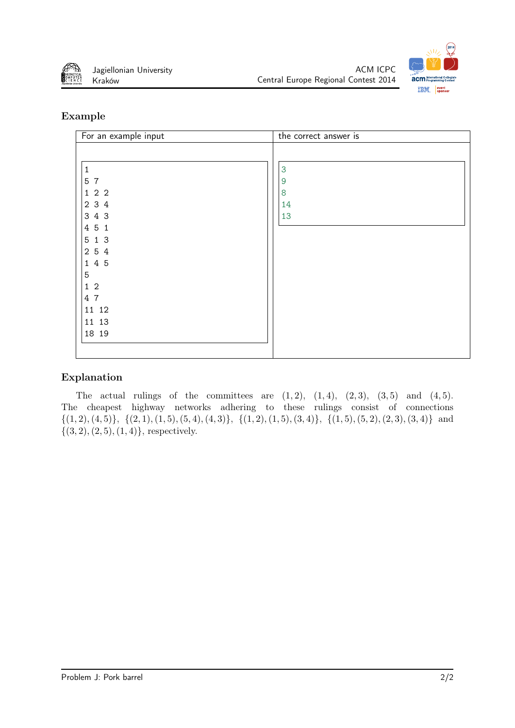



### Example

| For an example input | the correct answer is |
|----------------------|-----------------------|
|                      |                       |
| $\mathbf 1$          | 3                     |
| 5 7                  | 9                     |
| 122                  | 8                     |
| 2 3 4                | 14                    |
| 3 4 3                | 13                    |
| 4 5 1                |                       |
| 5 1 3                |                       |
| 2 5 4                |                       |
| 1 4 5                |                       |
| 5                    |                       |
| $1\,2$               |                       |
| 4 7                  |                       |
| 11 12                |                       |
| 11 13                |                       |
| 18 19                |                       |
|                      |                       |
|                      |                       |

## Explanation

The actual rulings of the committees are  $(1, 2)$ ,  $(1, 4)$ ,  $(2, 3)$ ,  $(3, 5)$  and  $(4, 5)$ . The cheapest highway networks adhering to these rulings consist of connections  $\{(1,2), (4,5)\}, \{(2,1), (1,5), (5,4), (4,3)\}, \{(1,2), (1,5), (3,4)\}, \{(1,5), (5,2), (2,3), (3,4)\}$  and *{*(3*,* 2)*,*(2*,* 5)*,*(1*,* 4)*}*, respectively.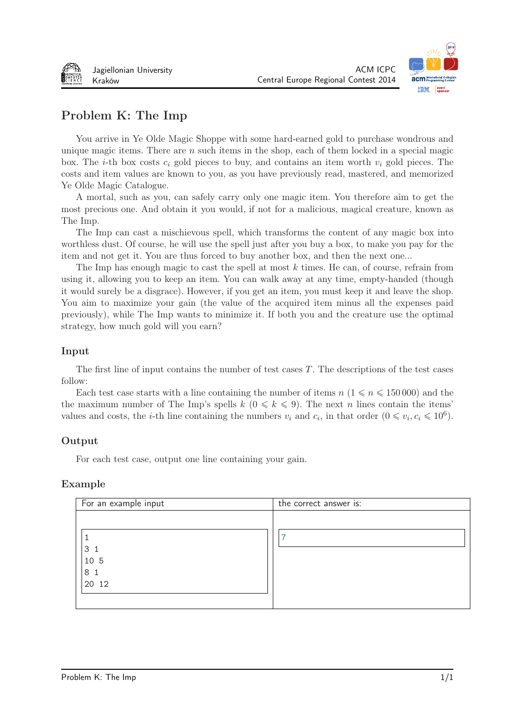



# Problem K: The Imp

You arrive in Ye Olde Magic Shoppe with some hard-earned gold to purchase wondrous and unique magic items. There are  $n$  such items in the shop, each of them locked in a special magic box. The *i*-th box costs  $c_i$  gold pieces to buy, and contains an item worth  $v_i$  gold pieces. The costs and item values are known to you, as you have previously read, mastered, and memorized Ye Olde Magic Catalogue.

A mortal, such as you, can safely carry only one magic item. You therefore aim to get the most precious one. And obtain it you would, if not for a malicious, magical creature, known as The Imp.

The Imp can cast a mischievous spell, which transforms the content of any magic box into worthless dust. Of course, he will use the spell just after you buy a box, to make you pay for the item and not get it. You are thus forced to buy another box, and then the next one...

The Imp has enough magic to cast the spell at most  $k$  times. He can, of course, refrain from using it, allowing you to keep an item. You can walk away at any time, empty-handed (though it would surely be a disgrace). However, if you get an item, you must keep it and leave the shop. You aim to maximize your gain (the value of the acquired item minus all the expenses paid previously), while The Imp wants to minimize it. If both you and the creature use the optimal strategy, how much gold will you earn?

### Input

The first line of input contains the number of test cases  $T$ . The descriptions of the test cases follow:

Each test case starts with a line containing the number of items  $n (1 \leq n \leq 150000)$  and the the maximum number of The Imp's spells  $k$  ( $0 \le k \le 9$ ). The next *n* lines contain the items' values and costs, the *i*-th line containing the numbers  $v_i$  and  $c_i$ , in that order  $(0 \le v_i, c_i \le 10^6)$ .

### Output

For each test case, output one line containing your gain.

| For an example input | the correct answer is: |
|----------------------|------------------------|
|                      |                        |
|                      | ⇁                      |
| 3 <sub>1</sub>       |                        |
| 10 5                 |                        |
| 8 <sub>1</sub>       |                        |
| 20 12                |                        |
|                      |                        |
|                      |                        |